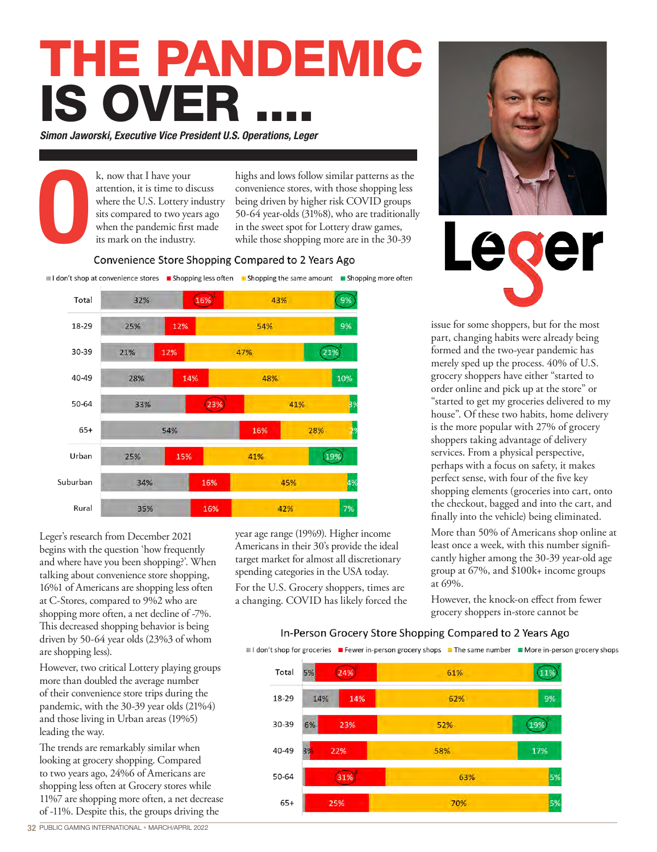## THE PANDEMIC **IS OVER**

*Simon Jaworski, Executive Vice President U.S. Operations, Leger*

k, now that I have your attention, it is time to discuss where the U.S. Lottery industry sits compared to two years ago when the pandemic first made its mark on the industry.

highs and lows follow similar patterns as the convenience stores, with those shopping less being driven by higher risk COVID groups 50-64 year-olds (31%8), who are traditionally in the sweet spot for Lottery draw games, while those shopping more are in the 30-39

# O Convenience Store Shopping Compared to 2 Years Ago

I don't shop at convenience stores I Shopping less often I Shopping the same amount I Shopping more often



Leger's research from December 2021 begins with the question 'how frequently and where have you been shopping?'. When talking about convenience store shopping, 16%1 of Americans are shopping less often at C-Stores, compared to 9%2 who are shopping more often, a net decline of -7%. This decreased shopping behavior is being driven by 50-64 year olds (23%3 of whom are shopping less).

However, two critical Lottery playing groups more than doubled the average number of their convenience store trips during the pandemic, with the 30-39 year olds (21%4) and those living in Urban areas (19%5) leading the way.

The trends are remarkably similar when looking at grocery shopping. Compared to two years ago, 24%6 of Americans are shopping less often at Grocery stores while 11%7 are shopping more often, a net decrease of -11%. Despite this, the groups driving the

year age range (19%9). Higher income Americans in their 30's provide the ideal target market for almost all discretionary spending categories in the USA today.

For the U.S. Grocery shoppers, times are a changing. COVID has likely forced the



ecer

issue for some shoppers, but for the most part, changing habits were already being formed and the two-year pandemic has merely sped up the process. 40% of U.S. grocery shoppers have either "started to order online and pick up at the store" or "started to get my groceries delivered to my house". Of these two habits, home delivery is the more popular with 27% of grocery shoppers taking advantage of delivery services. From a physical perspective, perhaps with a focus on safety, it makes perfect sense, with four of the five key shopping elements (groceries into cart, onto the checkout, bagged and into the cart, and finally into the vehicle) being eliminated.

More than 50% of Americans shop online at least once a week, with this number significantly higher among the 30-39 year-old age group at 67%, and \$100k+ income groups at 69%.

However, the knock-on effect from fewer grocery shoppers in-store cannot be

### In-Person Grocery Store Shopping Compared to 2 Years Ago

Il don't shop for groceries I Fewer in-person grocery shops I The same number II More in-person grocery shops

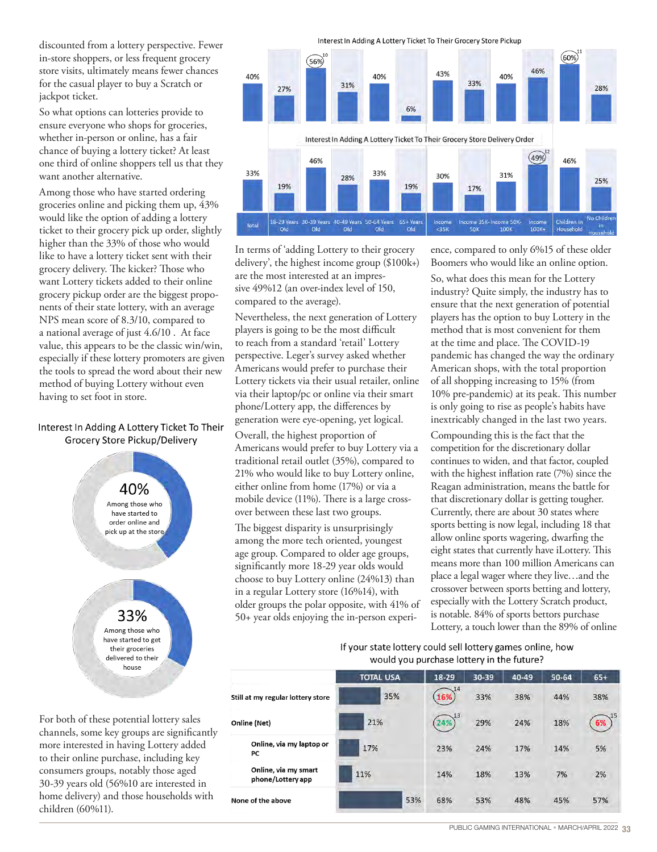discounted from a lottery perspective. Fewer in-store shoppers, or less frequent grocery store visits, ultimately means fewer chances for the casual player to buy a Scratch or jackpot ticket.

So what options can lotteries provide to ensure everyone who shops for groceries, whether in-person or online, has a fair chance of buying a lottery ticket? At least one third of online shoppers tell us that they want another alternative.

Among those who have started ordering groceries online and picking them up, 43% would like the option of adding a lottery ticket to their grocery pick up order, slightly higher than the 33% of those who would like to have a lottery ticket sent with their grocery delivery. The kicker? Those who want Lottery tickets added to their online grocery pickup order are the biggest proponents of their state lottery, with an average NPS mean score of 8.3/10, compared to a national average of just 4.6/10 . At face value, this appears to be the classic win/win, especially if these lottery promoters are given the tools to spread the word about their new method of buying Lottery without even having to set foot in store.

#### Interest In Adding A Lottery Ticket To Their Grocery Store Pickup/Delivery



For both of these potential lottery sales channels, some key groups are significantly more interested in having Lottery added to their online purchase, including key consumers groups, notably those aged 30-39 years old (56%10 are interested in home delivery) and those households with children (60%11).

h



In terms of 'adding Lottery to their grocery delivery', the highest income group (\$100k+) are the most interested at an impressive 49%12 (an over-index level of 150, compared to the average).

Nevertheless, the next generation of Lottery players is going to be the most difficult to reach from a standard 'retail' Lottery perspective. Leger's survey asked whether Americans would prefer to purchase their Lottery tickets via their usual retailer, online via their laptop/pc or online via their smart phone/Lottery app, the differences by generation were eye-opening, yet logical.

Overall, the highest proportion of Americans would prefer to buy Lottery via a traditional retail outlet (35%), compared to 21% who would like to buy Lottery online, either online from home (17%) or via a mobile device (11%). There is a large crossover between these last two groups.

The biggest disparity is unsurprisingly among the more tech oriented, youngest age group. Compared to older age groups, significantly more 18-29 year olds would choose to buy Lottery online (24%13) than in a regular Lottery store (16%14), with older groups the polar opposite, with 41% of 50+ year olds enjoying the in-person experi-

ence, compared to only 6%15 of these older Boomers who would like an online option.

So, what does this mean for the Lottery industry? Quite simply, the industry has to ensure that the next generation of potential players has the option to buy Lottery in the method that is most convenient for them at the time and place. The COVID-19 pandemic has changed the way the ordinary American shops, with the total proportion of all shopping increasing to 15% (from 10% pre-pandemic) at its peak. This number is only going to rise as people's habits have inextricably changed in the last two years.

Compounding this is the fact that the competition for the discretionary dollar continues to widen, and that factor, coupled with the highest inflation rate (7%) since the Reagan administration, means the battle for that discretionary dollar is getting tougher. Currently, there are about 30 states where sports betting is now legal, including 18 that allow online sports wagering, dwarfing the eight states that currently have iLottery. This means more than 100 million Americans can place a legal wager where they live…and the crossover between sports betting and lottery, especially with the Lottery Scratch product, is notable. 84% of sports bettors purchase Lottery, a touch lower than the 89% of online

### If your state lottery could sell lottery games online, how would you purchase lottery in the future?

|                                           | <b>TOTAL USA</b> | 18-29     | 30-39 | 40-49 | 50-64 | $65+$     |
|-------------------------------------------|------------------|-----------|-------|-------|-------|-----------|
| Still at my regular lottery store         | 35%              | 14<br>16% | 33%   | 38%   | 44%   | 38%       |
| Online (Net)                              | 21%              | 13        | 29%   | 24%   | 18%   | .15<br>6% |
| Online, via my laptop or<br>PС            | 17%              | 23%       | 24%   | 17%   | 14%   | 5%        |
| Online, via my smart<br>phone/Lottery app | 11%              | 14%       | 18%   | 13%   | 7%    | 2%        |
| None of the above                         | 53%              | 68%       | 53%   | 48%   | 45%   | 57%       |